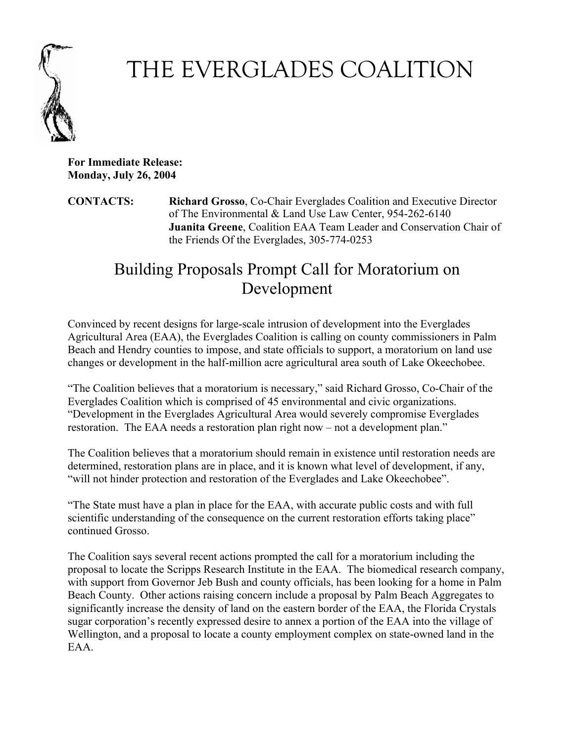

## THE EVERGLADES COALITION

**For Immediate Release: Monday, July 26, 2004**

**CONTACTS: Richard Grosso**, Co-Chair Everglades Coalition and Executive Director of The Environmental & Land Use Law Center, 954-262-6140 **Juanita Greene**, Coalition EAA Team Leader and Conservation Chair of the Friends Of the Everglades, 305-774-0253

## Building Proposals Prompt Call for Moratorium on Development

Convinced by recent designs for large-scale intrusion of development into the Everglades Agricultural Area (EAA), the Everglades Coalition is calling on county commissioners in Palm Beach and Hendry counties to impose, and state officials to support, a moratorium on land use changes or development in the half-million acre agricultural area south of Lake Okeechobee.

"The Coalition believes that a moratorium is necessary," said Richard Grosso, Co-Chair of the Everglades Coalition which is comprised of 45 environmental and civic organizations. "Development in the Everglades Agricultural Area would severely compromise Everglades restoration. The EAA needs a restoration plan right now – not a development plan."

The Coalition believes that a moratorium should remain in existence until restoration needs are determined, restoration plans are in place, and it is known what level of development, if any, "will not hinder protection and restoration of the Everglades and Lake Okeechobee".

"The State must have a plan in place for the EAA, with accurate public costs and with full scientific understanding of the consequence on the current restoration efforts taking place" continued Grosso.

The Coalition says several recent actions prompted the call for a moratorium including the proposal to locate the Scripps Research Institute in the EAA. The biomedical research company, with support from Governor Jeb Bush and county officials, has been looking for a home in Palm Beach County. Other actions raising concern include a proposal by Palm Beach Aggregates to significantly increase the density of land on the eastern border of the EAA, the Florida Crystals sugar corporation's recently expressed desire to annex a portion of the EAA into the village of Wellington, and a proposal to locate a county employment complex on state-owned land in the EAA.